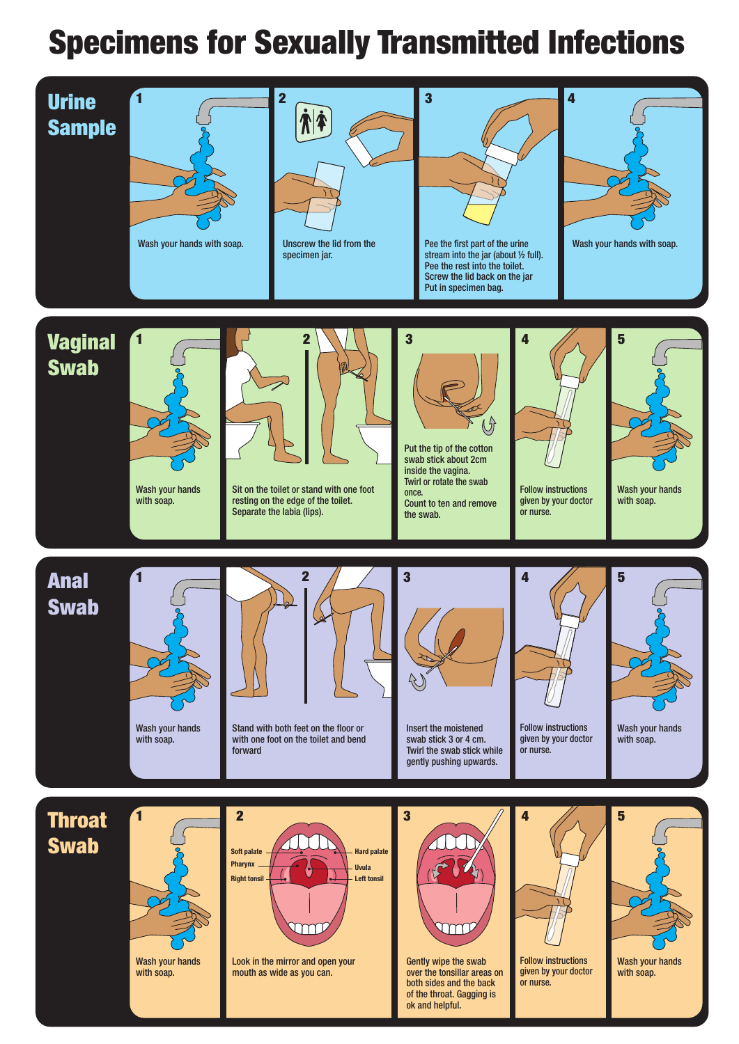## Specimens for Sexually Transmitted Infections